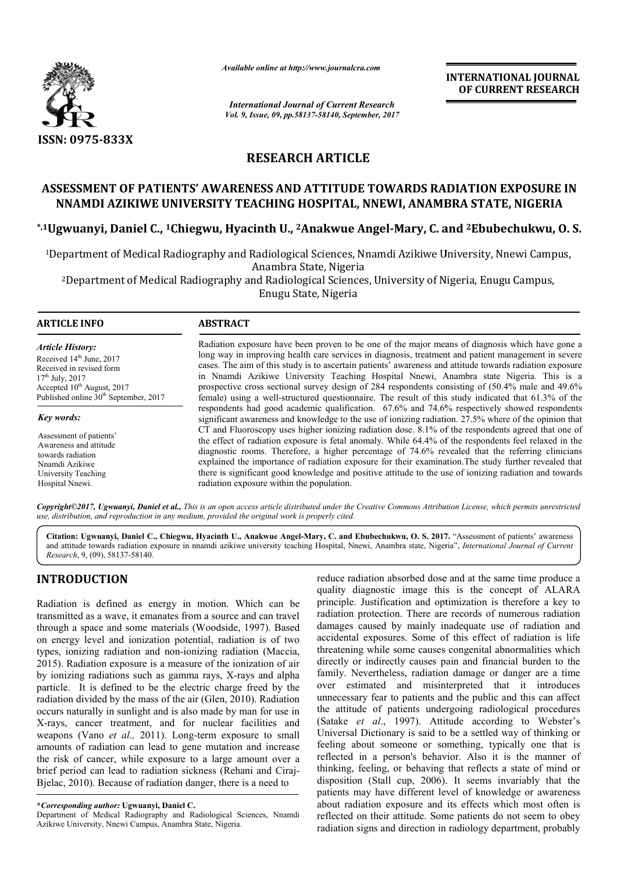

*Available online at http://www.journal http://www.journalcra.com*

*International Journal of Current Research Vol. 9, Issue, 09, pp.58137-58140, September, 2017* **INTERNATIONAL JOURNAL OF CURRENT RESEARCH** 

# **RESEARCH ARTICLE**

# ASSESSMENT OF PATIENTS' AWARENESS AND ATTITUDE TOWARDS RADIATION EXPOSURE IN **NNAMDI AZIKIWE UNIVERSITY TEACHING HOSPITAL HOSPITAL, NNEWI, ANAMBRA STATE, NIGERIA**

**\*,1Ugwuanyi, Daniel C., 1Chiegwu, Hyacinth U. Chiegwu, U., 2Anakwue Angel-Mary, C. and 2Ebubechukwu, O. S.**

<sup>1</sup>Department of Medical Radiography and Radiological Sciences, Nnamdi Azikiwe University, Nnewi Campus,<br>Anambra State, Nigeria

<sup>2</sup>Department of Medical Radiography and Radiological Sciences, University of Nigeria, Enugu Campus, Enugu State, Nigeria

#### **ARTICLE INFO ABSTRACT**

*Article History:* Received 14<sup>th</sup> June, 2017 Received in revised form 17th July, 2017 Accepted 10<sup>th</sup> August, 2017 Published online 30<sup>th</sup> September, 2017

*Key words:*

Assessment of patients' Awareness and attitude towards radiation Nnamdi Azikiwe University Teaching Hospital Nnewi.

Radiation exposure have been proven to be one of the major means of diagnosis which have gone a long way in improving health care services in diagnosis, treatment and patient management in severe cases. The aim of this study is to ascertain patients' awareness and attitude towards radiation exposure in Nnamdi Azikiwe University Teaching Hospital Nnewi, Anambra state Nigeria. This is a prospective cross sectional survey design of 284 respondents consisting of (50.4% male and 49.6% prospective cross sectional survey design of 284 respondents consisting of (50.4% male and 49.6% female) using a well-structured questionnaire. The result of this study indicated that 61.3% of the respondents had good academic qualification. 67. 67.6% and 74.6% respectively showed respondents significant awareness and knowledge to the use of ionizing radiation. 27.5% where of the opinion that CT and Fluoroscopy uses higher ionizing radiation dose. 8.1% of the respondents agreed that one of the effect of radiation exposure is fetal anomaly. While 64.4% of the respondents feel relaxed in the diagnostic rooms. Therefore, a higher percentage of 74.6% revealed that the referring clinicians explained the importance of radiation exposure for their examination. The study further revealed that there is significant good knowledge and positive attitude to the use of ionizing radiation and towards there is radiation exposure within the population. Radiation exposure have been proven to be one of the major means of diagnosis which have gone a<br>long way in improving health care services in diagnosis, treatment and patient management in severe<br>cases. The aim of this stu respondents had good academic qualification. 67.6% and 74.6% respectively showed respondents significant awareness and knowledge to the use of ionizing radiation. 27.5% where of the opinion that CT and Fluoroscopy uses hig

*Copyright©2017, Ugwuanyi, Daniel et al., This is an open access article distributed under the Creative Commons Attribution License, which ribution permits unrestricted use, distribution, and reproduction in any medium, provided the original work is properly cited.*

**Citation: Ugwuanyi, Daniel C., Chiegwu, Hyacinth U. U., Anakwue Angel-Mary, C. and Ebubechukwu, O. S. 2017. 2017.** "Assessment of patients' awareness and attitude towards radiation exposure in nnamdi azikiwe university teaching Hospital, Nnewi, Anambra state, Nigeria", *International Journal of Current Research*, 9, (09), 58137-58140.

# **INTRODUCTION**

Radiation is defined as energy in motion. Which can be transmitted as a wave, it emanates from a source and can travel through a space and some materials (Woodside, 1997). Based on energy level and ionization potential, radiation is of two types, ionizing radiation and non-ionizing radiation (Maccia, types, ionizing radiation and non-ionizing radiation (Maccia, 2015). Radiation exposure is a measure of the ionization of air by ionizing radiations such as gamma rays, X-rays and alpha particle. It is defined to be the electric charge freed by the radiation divided by the mass of the air (Glen, 2010). Radiation occurs naturally in sunlight and is also made by man for use in X-rays, cancer treatment, and for nuclear facilities and weapons (Vano *et al.,* 2011). Long-term exposure to small amounts of radiation can lead to gene mutation and increase X-rays, cancer treatment, and for nuclear facilities and weapons (Vano *et al.*, 2011). Long-term exposure to small amounts of radiation can lead to gene mutation and increase the risk of cancer, while exposure to a large brief period can lead to radiation sickness (Rehani and Ciraj Ciraj-Bjelac, 2010). Because of radiation danger, there is a need to

**\****Corresponding author:* **Ugwuanyi, Daniel C.**

Department of Medical Radiography and Radiological Sciences, Nnamdi Azikiwe University, Nnewi Campus, Anambra State, Nigeria.

reduce radiation absorbed dose and at the same time produce a quality diagnostic image this is the concept of ALARA principle. Justification and optimization is therefore a key to radiation protection. There are records of numerous radiation damages caused by mainly inadequate use of radiation and accidental exposures. Some of this effect of radiation is life threatening while some causes congenital abnormalities which directly or indirectly causes pain and financial burden to the family. Nevertheless, radiation damage or danger are a time over estimated and misinterpreted that it introduces unnecessary fear to patients and the public and this can affect the attitude of patients undergoing radiological procedures (Satake *et al*., 1997). Attitude according to Webster's Universal Dictionary is said to be a settled way of thinking or feeling about someone or something, typically one that is reflected in a person's behavior. Also it is the thinking, feeling, or behaving that reflects a state of mind or disposition (Stall cup, 2006). It seems invariably that the patients may have different level of knowledge or awareness about radiation exposure and its effects which most often is reflected on their attitude. Some patients do not seem to obey radiation signs and direction in radiology department, probably reduce radiation absorbed dose and at the same time produce a quality diagnostic image this is the concept of ALARA principle. Justification and optimization is therefore a key to radiation protection. There are records of (Satake *et al.*, 1997). Attitude according to Webster's Universal Dictionary is said to be a settled way of thinking or feeling about someone or something, typically one that is reflected in a person's behavior. Also it **INTERNATIONAL JOURNAL**<br> **INTERNATIONAL JOURNAL**<br> **OF CURRENT RESEARCH**<br> **OF CURRENT RESEARCH**<br> **OF CURRENT RESEARCH**<br> **OF CURRENT RESEARCH**<br> **OF CURRENT RESEARCH**<br> **OF CURRENT RESEARCH**<br> **OF CURRENT RESEARCH**<br> **OF IGURE**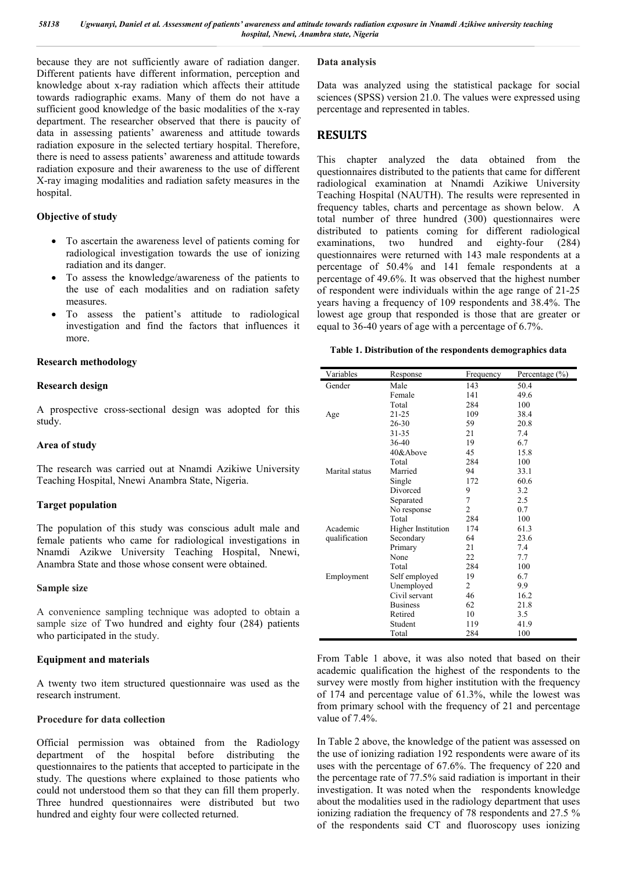because they are not sufficiently aware of radiation danger. Different patients have different information, perception and knowledge about x-ray radiation which affects their attitude towards radiographic exams. Many of them do not have a sufficient good knowledge of the basic modalities of the x-ray department. The researcher observed that there is paucity of data in assessing patients' awareness and attitude towards radiation exposure in the selected tertiary hospital. Therefore, there is need to assess patients' awareness and attitude towards radiation exposure and their awareness to the use of different X-ray imaging modalities and radiation safety measures in the hospital.

## **Objective of study**

- To ascertain the awareness level of patients coming for radiological investigation towards the use of ionizing radiation and its danger.
- To assess the knowledge/awareness of the patients to the use of each modalities and on radiation safety measures.
- To assess the patient's attitude to radiological investigation and find the factors that influences it more.

### **Research methodology**

#### **Research design**

A prospective cross-sectional design was adopted for this study.

#### **Area of study**

The research was carried out at Nnamdi Azikiwe University Teaching Hospital, Nnewi Anambra State, Nigeria.

#### **Target population**

The population of this study was conscious adult male and female patients who came for radiological investigations in Nnamdi Azikwe University Teaching Hospital, Nnewi, Anambra State and those whose consent were obtained.

#### **Sample size**

A convenience sampling technique was adopted to obtain a sample size of Two hundred and eighty four (284) patients who participated in the study.

#### **Equipment and materials**

A twenty two item structured questionnaire was used as the research instrument.

### **Procedure for data collection**

Official permission was obtained from the Radiology department of the hospital before distributing the questionnaires to the patients that accepted to participate in the study. The questions where explained to those patients who could not understood them so that they can fill them properly. Three hundred questionnaires were distributed but two hundred and eighty four were collected returned.

#### **Data analysis**

Data was analyzed using the statistical package for social sciences (SPSS) version 21.0. The values were expressed using percentage and represented in tables.

# **RESULTS**

This chapter analyzed the data obtained from the questionnaires distributed to the patients that came for different radiological examination at Nnamdi Azikiwe University Teaching Hospital (NAUTH). The results were represented in frequency tables, charts and percentage as shown below. A total number of three hundred (300) questionnaires were distributed to patients coming for different radiological examinations, two hundred and eighty-four (284) questionnaires were returned with 143 male respondents at a percentage of 50.4% and 141 female respondents at a percentage of 49.6%. It was observed that the highest number of respondent were individuals within the age range of 21-25 years having a frequency of 109 respondents and 38.4%. The lowest age group that responded is those that are greater or equal to 36-40 years of age with a percentage of 6.7%.

#### **Table 1. Distribution of the respondents demographics data**

| Variables      | Response           | Frequency      | Percentage $(\% )$ |
|----------------|--------------------|----------------|--------------------|
| Gender         | Male               | 143            | 50.4               |
|                | Female             | 141            | 49.6               |
|                | Total              | 284            | 100                |
| Age            | 21-25              | 109            | 38.4               |
|                | 26-30              | 59             | 20.8               |
|                | 31-35              | 21             | 7.4                |
|                | 36-40              | 19             | 6.7                |
|                | 40&Above           | 45             | 15.8               |
|                | Total              | 284            | 100                |
| Marital status | Married            | 94             | 33.1               |
|                | Single             | 172            | 60.6               |
|                | Divorced           | 9              | 3.2                |
|                | Separated          | 7              | 2.5                |
|                | No response        | $\overline{c}$ | 0.7                |
|                | Total              | 284            | 100                |
| Academic       | Higher Institution | 174            | 61.3               |
| qualification  | Secondary          | 64             | 23.6               |
|                | Primary            | 21             | 7.4                |
|                | None               | 22             | 7.7                |
|                | Total              | 284            | 100                |
| Employment     | Self employed      | 19             | 6.7                |
|                | Unemployed         | 2              | 9.9                |
|                | Civil servant      | 46             | 16.2               |
|                | <b>Business</b>    | 62             | 21.8               |
|                | Retired            | 10             | 3.5                |
|                | Student            | 119            | 41.9               |
|                | Total              | 284            | 100                |

From Table 1 above, it was also noted that based on their academic qualification the highest of the respondents to the survey were mostly from higher institution with the frequency of 174 and percentage value of 61.3%, while the lowest was from primary school with the frequency of 21 and percentage value of 7.4%.

In Table 2 above, the knowledge of the patient was assessed on the use of ionizing radiation 192 respondents were aware of its uses with the percentage of 67.6%. The frequency of 220 and the percentage rate of 77.5% said radiation is important in their investigation. It was noted when the respondents knowledge about the modalities used in the radiology department that uses ionizing radiation the frequency of 78 respondents and 27.5 % of the respondents said CT and fluoroscopy uses ionizing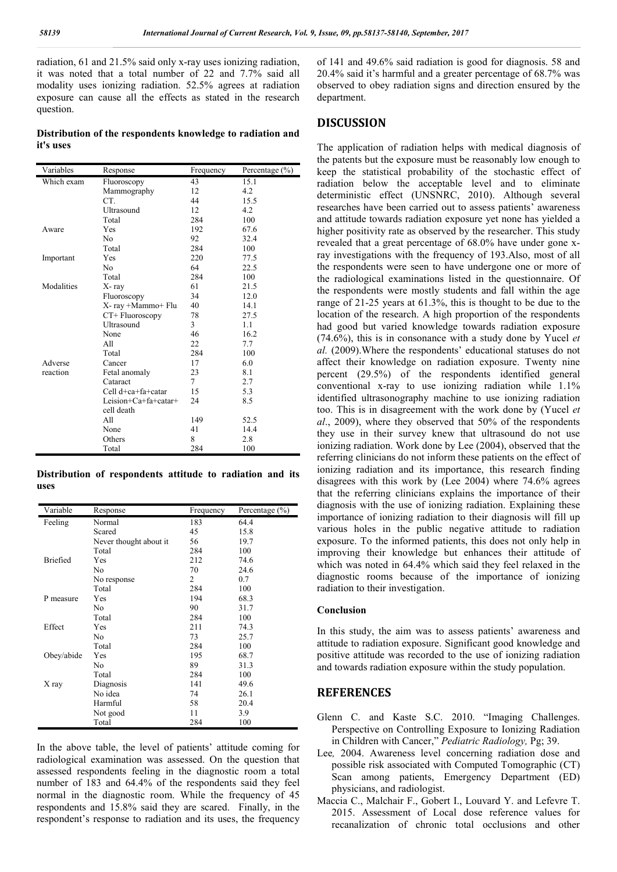radiation, 61 and 21.5% said only x-ray uses ionizing radiation, it was noted that a total number of 22 and 7.7% said all modality uses ionizing radiation. 52.5% agrees at radiation exposure can cause all the effects as stated in the research question.

**Distribution of the respondents knowledge to radiation and it's uses**

| Variables  | Response             | Frequency | Percentage (%) |
|------------|----------------------|-----------|----------------|
| Which exam | Fluoroscopy          | 43        | 15.1           |
|            | Mammography          | 12        | 4.2            |
|            | CT.                  | 44        | 15.5           |
|            | Ultrasound           | 12        | 4.2            |
|            | Total                | 284       | 100            |
| Aware      | Yes                  | 192       | 67.6           |
|            | No                   | 92        | 32.4           |
|            | Total                | 284       | 100            |
| Important  | Yes                  | 220       | 77.5           |
|            | No                   | 64        | 22.5           |
|            | Total                | 284       | 100            |
| Modalities | X-ray                | 61        | 21.5           |
|            | Fluoroscopy          | 34        | 12.0           |
|            | X-ray +Mammo+ Flu    | 40        | 14.1           |
|            | CT+ Fluoroscopy      | 78        | 27.5           |
|            | Ultrasound           | 3         | 1.1            |
|            | None                 | 46        | 16.2           |
|            | All                  | 22        | 7.7            |
|            | Total                | 284       | 100            |
| Adverse    | Cancer               | 17        | 6.0            |
| reaction   | Fetal anomaly        | 23        | 8.1            |
|            | Cataract             | $\tau$    | 2.7            |
|            | Cell d+ca+fa+catar   | 15        | 5.3            |
|            | Leision+Ca+fa+catar+ | 24        | 8.5            |
|            | cell death           |           |                |
|            | All                  | 149       | 52.5           |
|            | None                 | 41        | 14.4           |
|            | Others               | 8         | 2.8            |
|            | Total                | 284       | 100            |

**Distribution of respondents attitude to radiation and its uses**

| Variable   | Response               | Frequency | Percentage $(\% )$ |
|------------|------------------------|-----------|--------------------|
| Feeling    | Normal                 | 183       | 64.4               |
|            | Scared                 | 45        | 15.8               |
|            | Never thought about it | 56        | 19.7               |
|            | Total                  | 284       | 100                |
| Briefied   | Yes                    | 212       | 74.6               |
|            | No                     | 70        | 24.6               |
|            | No response            | 2         | 0.7                |
|            | Total                  | 284       | 100                |
| P measure  | Yes                    | 194       | 68.3               |
|            | No                     | 90        | 31.7               |
|            | Total                  | 284       | 100                |
| Effect     | Yes                    | 211       | 74.3               |
|            | No                     | 73        | 25.7               |
|            | Total                  | 284       | 100                |
| Obey/abide | Yes                    | 195       | 68.7               |
|            | No                     | 89        | 31.3               |
|            | Total                  | 284       | 100                |
| X ray      | Diagnosis              | 141       | 49.6               |
|            | No idea                | 74        | 26.1               |
|            | Harmful                | 58        | 20.4               |
|            | Not good               | 11        | 3.9                |
|            | Total                  | 284       | 100                |

In the above table, the level of patients' attitude coming for radiological examination was assessed. On the question that assessed respondents feeling in the diagnostic room a total number of 183 and 64.4% of the respondents said they feel normal in the diagnostic room. While the frequency of 45 respondents and 15.8% said they are scared. Finally, in the respondent's response to radiation and its uses, the frequency of 141 and 49.6% said radiation is good for diagnosis. 58 and 20.4% said it's harmful and a greater percentage of 68.7% was observed to obey radiation signs and direction ensured by the department.

## **DISCUSSION**

The application of radiation helps with medical diagnosis of the patents but the exposure must be reasonably low enough to keep the statistical probability of the stochastic effect of radiation below the acceptable level and to eliminate deterministic effect (UNSNRC, 2010). Although several researches have been carried out to assess patients' awareness and attitude towards radiation exposure yet none has yielded a higher positivity rate as observed by the researcher. This study revealed that a great percentage of 68.0% have under gone xray investigations with the frequency of 193.Also, most of all the respondents were seen to have undergone one or more of the radiological examinations listed in the questionnaire. Of the respondents were mostly students and fall within the age range of 21-25 years at 61.3%, this is thought to be due to the location of the research. A high proportion of the respondents had good but varied knowledge towards radiation exposure (74.6%), this is in consonance with a study done by Yucel *et al.* (2009).Where the respondents' educational statuses do not affect their knowledge on radiation exposure. Twenty nine percent (29.5%) of the respondents identified general conventional x-ray to use ionizing radiation while 1.1% identified ultrasonography machine to use ionizing radiation too. This is in disagreement with the work done by (Yucel *et al*., 2009), where they observed that 50% of the respondents they use in their survey knew that ultrasound do not use ionizing radiation. Work done by Lee (2004), observed that the referring clinicians do not inform these patients on the effect of ionizing radiation and its importance, this research finding disagrees with this work by (Lee 2004) where 74.6% agrees that the referring clinicians explains the importance of their diagnosis with the use of ionizing radiation. Explaining these importance of ionizing radiation to their diagnosis will fill up various holes in the public negative attitude to radiation exposure. To the informed patients, this does not only help in improving their knowledge but enhances their attitude of which was noted in 64.4% which said they feel relaxed in the diagnostic rooms because of the importance of ionizing radiation to their investigation.

#### **Conclusion**

In this study, the aim was to assess patients' awareness and attitude to radiation exposure. Significant good knowledge and positive attitude was recorded to the use of ionizing radiation and towards radiation exposure within the study population.

## **REFERENCES**

- Glenn C. and Kaste S.C. 2010. "Imaging Challenges. Perspective on Controlling Exposure to Ionizing Radiation in Children with Cancer," *Pediatric Radiology,* Pg; 39.
- Lee*,* 2004. Awareness level concerning radiation dose and possible risk associated with Computed Tomographic (CT) Scan among patients, Emergency Department (ED) physicians, and radiologist.
- Maccia C., Malchair F., Gobert I., Louvard Y. and Lefevre T. 2015. Assessment of Local dose reference values for recanalization of chronic total occlusions and other